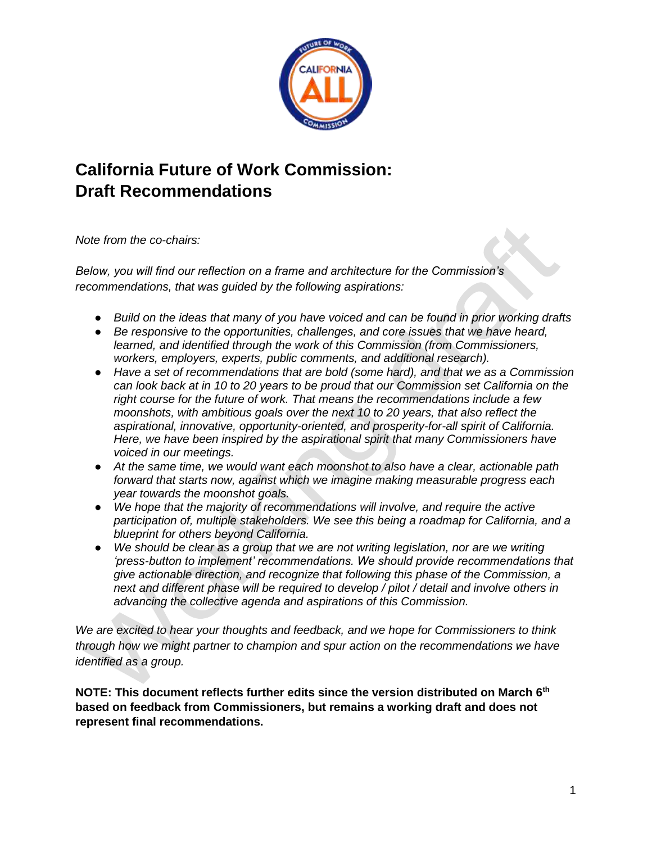

# **California Future of Work Commission: Draft Recommendations**

*Note from the co-chairs:*

*Below, you will find our reflection on a frame and architecture for the Commission's recommendations, that was guided by the following aspirations:* 

- *Build on the ideas that many of you have voiced and can be found in prior working drafts*
- *Be responsive to the opportunities, challenges, and core issues that we have heard, learned, and identified through the work of this Commission (from Commissioners, workers, employers, experts, public comments, and additional research).*
- *Have a set of recommendations that are bold (some hard), and that we as a Commission can look back at in 10 to 20 years to be proud that our Commission set California on the right course for the future of work. That means the recommendations include a few moonshots, with ambitious goals over the next 10 to 20 years, that also reflect the aspirational, innovative, opportunity-oriented, and prosperity-for-all spirit of California. Here, we have been inspired by the aspirational spirit that many Commissioners have voiced in our meetings.*
- *At the same time, we would want each moonshot to also have a clear, actionable path forward that starts now, against which we imagine making measurable progress each year towards the moonshot goals.*
- *We hope that the majority of recommendations will involve, and require the active participation of, multiple stakeholders. We see this being a roadmap for California, and a blueprint for others beyond California.*
- *We should be clear as a group that we are not writing legislation, nor are we writing 'press-button to implement' recommendations. We should provide recommendations that give actionable direction, and recognize that following this phase of the Commission, a next and different phase will be required to develop / pilot / detail and involve others in advancing the collective agenda and aspirations of this Commission.*

*We are excited to hear your thoughts and feedback, and we hope for Commissioners to think through how we might partner to champion and spur action on the recommendations we have identified as a group.*

**NOTE: This document reflects further edits since the version distributed on March 6th based on feedback from Commissioners, but remains a working draft and does not represent final recommendations.**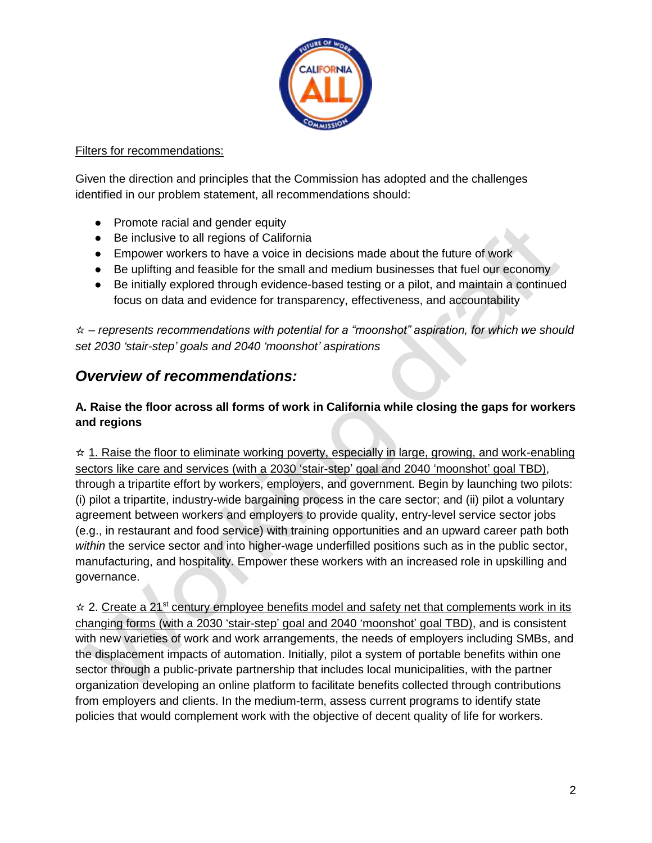

#### Filters for recommendations:

Given the direction and principles that the Commission has adopted and the challenges identified in our problem statement, all recommendations should:

- Promote racial and gender equity
- Be inclusive to all regions of California
- Empower workers to have a voice in decisions made about the future of work
- Be uplifting and feasible for the small and medium businesses that fuel our economy
- Be initially explored through evidence-based testing or a pilot, and maintain a continued focus on data and evidence for transparency, effectiveness, and accountability

☆ – *represents recommendations with potential for a "moonshot" aspiration, for which we should set 2030 'stair-step' goals and 2040 'moonshot' aspirations*

# *Overview of recommendations:*

### **A. Raise the floor across all forms of work in California while closing the gaps for workers and regions**

 $\star$  1. Raise the floor to eliminate working poverty, especially in large, growing, and work-enabling sectors like care and services (with a 2030 'stair-step' goal and 2040 'moonshot' goal TBD), through a tripartite effort by workers, employers, and government. Begin by launching two pilots: (i) pilot a tripartite, industry-wide bargaining process in the care sector; and (ii) pilot a voluntary agreement between workers and employers to provide quality, entry-level service sector jobs (e.g., in restaurant and food service) with training opportunities and an upward career path both *within* the service sector and into higher-wage underfilled positions such as in the public sector, manufacturing, and hospitality. Empower these workers with an increased role in upskilling and governance.

 $\dot{\varphi}$  2. Create a 21<sup>st</sup> century employee benefits model and safety net that complements work in its changing forms (with a 2030 'stair-step' goal and 2040 'moonshot' goal TBD), and is consistent with new varieties of work and work arrangements, the needs of employers including SMBs, and the displacement impacts of automation. Initially, pilot a system of portable benefits within one sector through a public-private partnership that includes local municipalities, with the partner organization developing an online platform to facilitate benefits collected through contributions from employers and clients. In the medium-term, assess current programs to identify state policies that would complement work with the objective of decent quality of life for workers.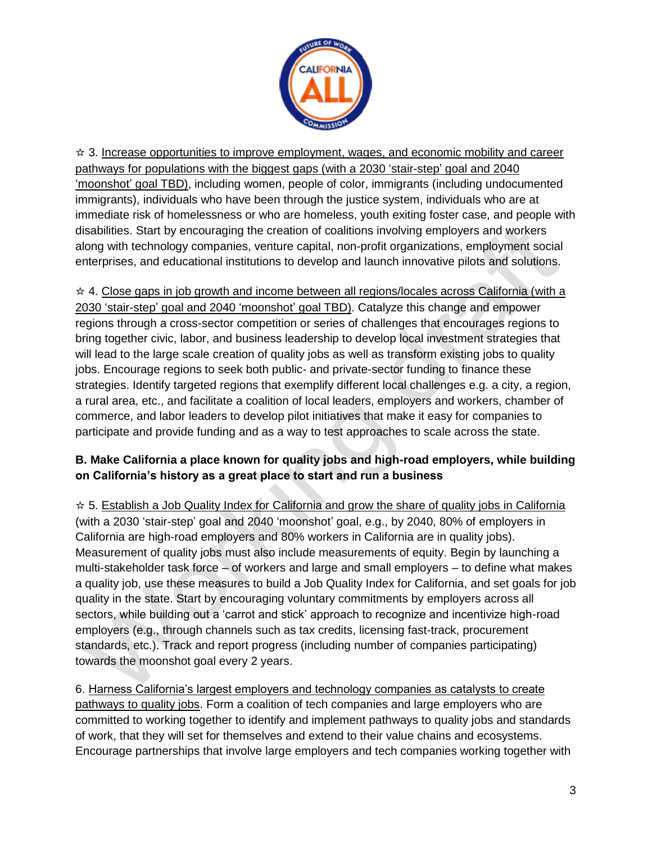

☆ 3. Increase opportunities to improve employment, wages, and economic mobility and career pathways for populations with the biggest gaps (with a 2030 'stair-step' goal and 2040 'moonshot' goal TBD), including women, people of color, immigrants (including undocumented immigrants), individuals who have been through the justice system, individuals who are at immediate risk of homelessness or who are homeless, youth exiting foster case, and people with disabilities. Start by encouraging the creation of coalitions involving employers and workers along with technology companies, venture capital, non-profit organizations, employment social enterprises, and educational institutions to develop and launch innovative pilots and solutions.

☆ 4. Close gaps in job growth and income between all regions/locales across California (with a 2030 'stair-step' goal and 2040 'moonshot' goal TBD). Catalyze this change and empower regions through a cross-sector competition or series of challenges that encourages regions to bring together civic, labor, and business leadership to develop local investment strategies that will lead to the large scale creation of quality jobs as well as transform existing jobs to quality jobs. Encourage regions to seek both public- and private-sector funding to finance these strategies. Identify targeted regions that exemplify different local challenges e.g. a city, a region, a rural area, etc., and facilitate a coalition of local leaders, employers and workers, chamber of commerce, and labor leaders to develop pilot initiatives that make it easy for companies to participate and provide funding and as a way to test approaches to scale across the state.

# **B. Make California a place known for quality jobs and high-road employers, while building on California's history as a great place to start and run a business**

 $\star$  5. Establish a Job Quality Index for California and grow the share of quality jobs in California (with a 2030 'stair-step' goal and 2040 'moonshot' goal, e.g., by 2040, 80% of employers in California are high-road employers and 80% workers in California are in quality jobs). Measurement of quality jobs must also include measurements of equity. Begin by launching a multi-stakeholder task force – of workers and large and small employers – to define what makes a quality job, use these measures to build a Job Quality Index for California, and set goals for job quality in the state. Start by encouraging voluntary commitments by employers across all sectors, while building out a 'carrot and stick' approach to recognize and incentivize high-road employers (e.g., through channels such as tax credits, licensing fast-track, procurement standards, etc.). Track and report progress (including number of companies participating) towards the moonshot goal every 2 years.

6. Harness California's largest employers and technology companies as catalysts to create pathways to quality jobs. Form a coalition of tech companies and large employers who are committed to working together to identify and implement pathways to quality jobs and standards of work, that they will set for themselves and extend to their value chains and ecosystems. Encourage partnerships that involve large employers and tech companies working together with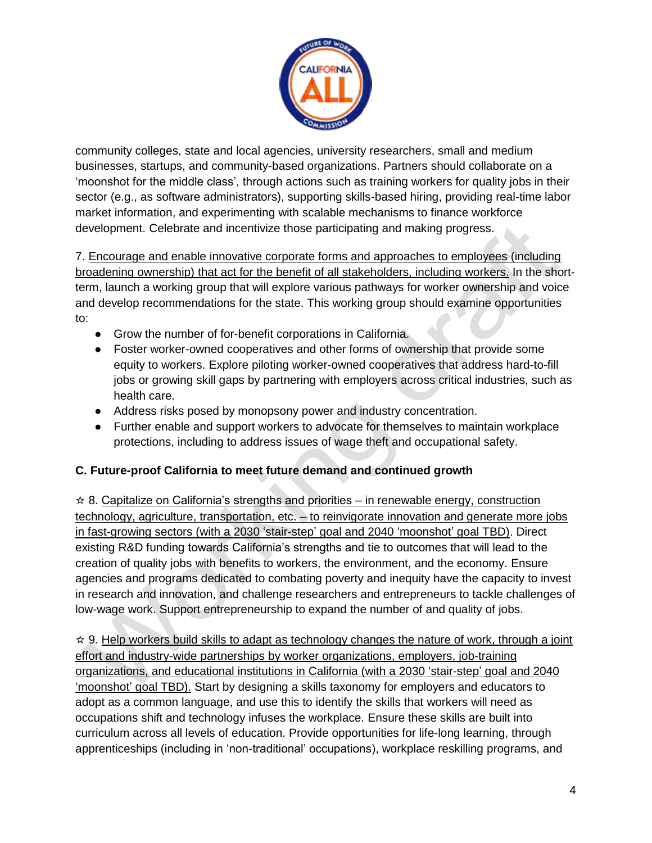

community colleges, state and local agencies, university researchers, small and medium businesses, startups, and community-based organizations. Partners should collaborate on a 'moonshot for the middle class', through actions such as training workers for quality jobs in their sector (e.g., as software administrators), supporting skills-based hiring, providing real-time labor market information, and experimenting with scalable mechanisms to finance workforce development. Celebrate and incentivize those participating and making progress.

7. Encourage and enable innovative corporate forms and approaches to employees (including broadening ownership) that act for the benefit of all stakeholders, including workers. In the shortterm, launch a working group that will explore various pathways for worker ownership and voice and develop recommendations for the state. This working group should examine opportunities to:

- Grow the number of for-benefit corporations in California.
- Foster worker-owned cooperatives and other forms of ownership that provide some equity to workers. Explore piloting worker-owned cooperatives that address hard-to-fill jobs or growing skill gaps by partnering with employers across critical industries, such as health care.
- Address risks posed by monopsony power and industry concentration.
- Further enable and support workers to advocate for themselves to maintain workplace protections, including to address issues of wage theft and occupational safety.

#### **C. Future-proof California to meet future demand and continued growth**

 $\star$  8. Capitalize on California's strengths and priorities – in renewable energy, construction technology, agriculture, transportation, etc. – to reinvigorate innovation and generate more jobs in fast-growing sectors (with a 2030 'stair-step' goal and 2040 'moonshot' goal TBD). Direct existing R&D funding towards California's strengths and tie to outcomes that will lead to the creation of quality jobs with benefits to workers, the environment, and the economy. Ensure agencies and programs dedicated to combating poverty and inequity have the capacity to invest in research and innovation, and challenge researchers and entrepreneurs to tackle challenges of low-wage work. Support entrepreneurship to expand the number of and quality of jobs.

 $\star$  9. Help workers build skills to adapt as technology changes the nature of work, through a joint effort and industry-wide partnerships by worker organizations, employers, job-training organizations, and educational institutions in California (with a 2030 'stair-step' goal and 2040 'moonshot' goal TBD). Start by designing a skills taxonomy for employers and educators to adopt as a common language, and use this to identify the skills that workers will need as occupations shift and technology infuses the workplace. Ensure these skills are built into curriculum across all levels of education. Provide opportunities for life-long learning, through apprenticeships (including in 'non-traditional' occupations), workplace reskilling programs, and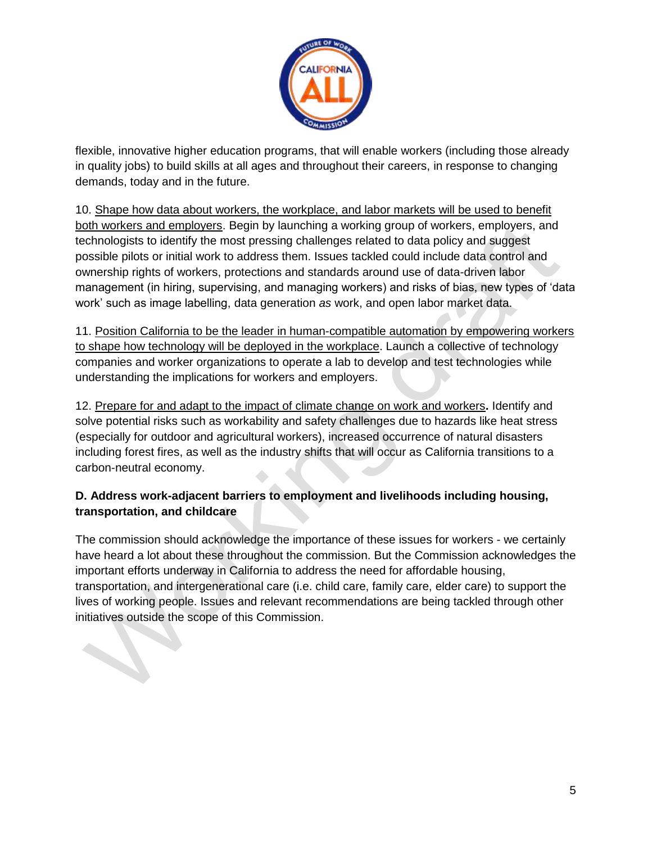

flexible, innovative higher education programs, that will enable workers (including those already in quality jobs) to build skills at all ages and throughout their careers, in response to changing demands, today and in the future.

10. Shape how data about workers, the workplace, and labor markets will be used to benefit both workers and employers. Begin by launching a working group of workers, employers, and technologists to identify the most pressing challenges related to data policy and suggest possible pilots or initial work to address them. Issues tackled could include data control and ownership rights of workers, protections and standards around use of data-driven labor management (in hiring, supervising, and managing workers) and risks of bias, new types of 'data work' such as image labelling, data generation *as* work, and open labor market data.

11. Position California to be the leader in human-compatible automation by empowering workers to shape how technology will be deployed in the workplace. Launch a collective of technology companies and worker organizations to operate a lab to develop and test technologies while understanding the implications for workers and employers.

12. Prepare for and adapt to the impact of climate change on work and workers**.** Identify and solve potential risks such as workability and safety challenges due to hazards like heat stress (especially for outdoor and agricultural workers), increased occurrence of natural disasters including forest fires, as well as the industry shifts that will occur as California transitions to a carbon-neutral economy.

# **D. Address work-adjacent barriers to employment and livelihoods including housing, transportation, and childcare**

The commission should acknowledge the importance of these issues for workers - we certainly have heard a lot about these throughout the commission. But the Commission acknowledges the important efforts underway in California to address the need for affordable housing, transportation, and intergenerational care (i.e. child care, family care, elder care) to support the lives of working people. Issues and relevant recommendations are being tackled through other initiatives outside the scope of this Commission.